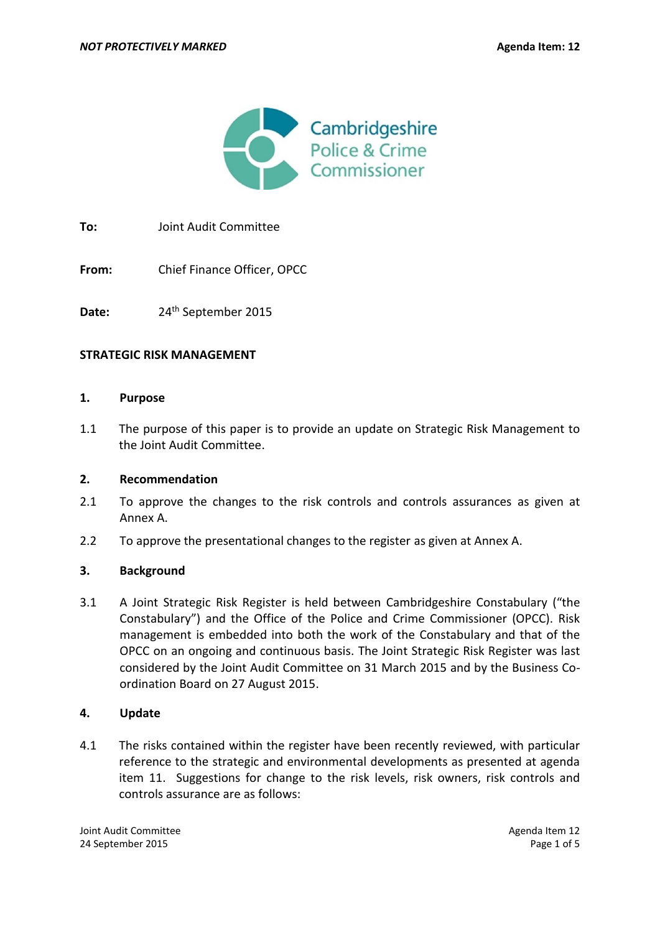

**To:** Joint Audit Committee

**From:** Chief Finance Officer, OPCC

Date: 24<sup>th</sup> September 2015

#### **STRATEGIC RISK MANAGEMENT**

#### **1. Purpose**

1.1 The purpose of this paper is to provide an update on Strategic Risk Management to the Joint Audit Committee.

#### **2. Recommendation**

- 2.1 To approve the changes to the risk controls and controls assurances as given at Annex A.
- 2.2 To approve the presentational changes to the register as given at Annex A.

# **3. Background**

3.1 A Joint Strategic Risk Register is held between Cambridgeshire Constabulary ("the Constabulary") and the Office of the Police and Crime Commissioner (OPCC). Risk management is embedded into both the work of the Constabulary and that of the OPCC on an ongoing and continuous basis. The Joint Strategic Risk Register was last considered by the Joint Audit Committee on 31 March 2015 and by the Business Coordination Board on 27 August 2015.

# **4. Update**

4.1 The risks contained within the register have been recently reviewed, with particular reference to the strategic and environmental developments as presented at agenda item 11. Suggestions for change to the risk levels, risk owners, risk controls and controls assurance are as follows:

Joint Audit Committee Agenda Item 12 24 September 2015 Page 1 of 5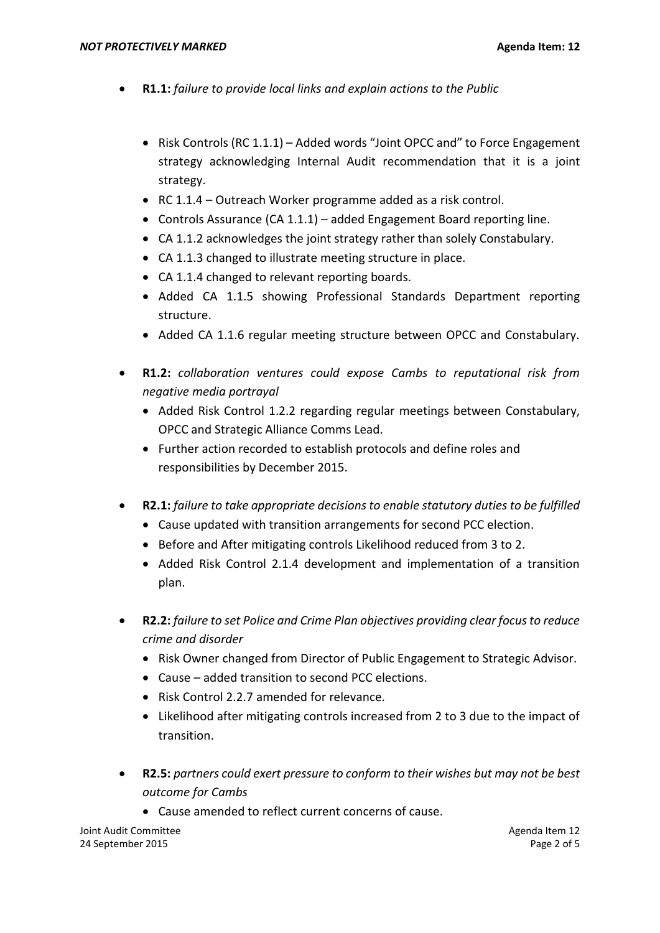- **R1.1:** *failure to provide local links and explain actions to the Public*
	- Risk Controls (RC 1.1.1) Added words "Joint OPCC and" to Force Engagement strategy acknowledging Internal Audit recommendation that it is a joint strategy.
	- RC 1.1.4 Outreach Worker programme added as a risk control.
	- Controls Assurance (CA 1.1.1) added Engagement Board reporting line.
	- CA 1.1.2 acknowledges the joint strategy rather than solely Constabulary.
	- CA 1.1.3 changed to illustrate meeting structure in place.
	- CA 1.1.4 changed to relevant reporting boards.
	- Added CA 1.1.5 showing Professional Standards Department reporting structure.
	- Added CA 1.1.6 regular meeting structure between OPCC and Constabulary.
- **R1.2:** *collaboration ventures could expose Cambs to reputational risk from negative media portrayal*
	- Added Risk Control 1.2.2 regarding regular meetings between Constabulary, OPCC and Strategic Alliance Comms Lead.
	- Further action recorded to establish protocols and define roles and responsibilities by December 2015.
- **R2.1:** *failure to take appropriate decisions to enable statutory duties to be fulfilled*
	- Cause updated with transition arrangements for second PCC election.
	- Before and After mitigating controls Likelihood reduced from 3 to 2.
	- Added Risk Control 2.1.4 development and implementation of a transition plan.
- **R2.2:** *failure to set Police and Crime Plan objectives providing clear focus to reduce crime and disorder*
	- Risk Owner changed from Director of Public Engagement to Strategic Advisor.
	- Cause added transition to second PCC elections.
	- Risk Control 2.2.7 amended for relevance.
	- Likelihood after mitigating controls increased from 2 to 3 due to the impact of transition.
- **R2.5:** *partners could exert pressure to conform to their wishes but may not be best outcome for Cambs*
	- Cause amended to reflect current concerns of cause.

Joint Audit Committee Agenda Item 12 24 September 2015 Page 2 of 5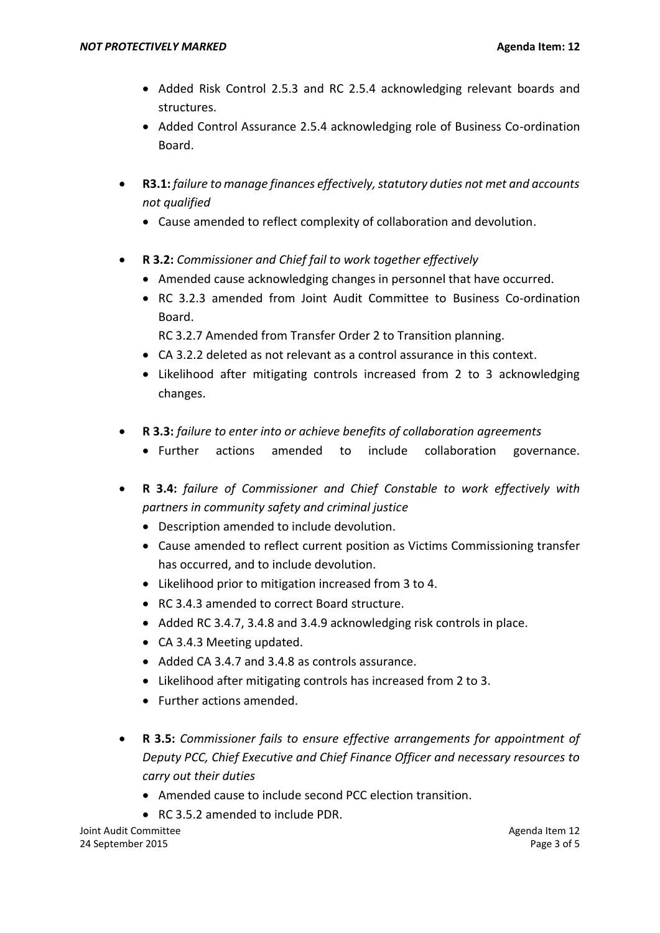- Added Risk Control 2.5.3 and RC 2.5.4 acknowledging relevant boards and structures.
- Added Control Assurance 2.5.4 acknowledging role of Business Co-ordination Board.
- **R3.1:** *failure to manage finances effectively, statutory duties not met and accounts not qualified*
	- Cause amended to reflect complexity of collaboration and devolution.
- **R 3.2:** *Commissioner and Chief fail to work together effectively*
	- Amended cause acknowledging changes in personnel that have occurred.
	- RC 3.2.3 amended from Joint Audit Committee to Business Co-ordination Board.
		- RC 3.2.7 Amended from Transfer Order 2 to Transition planning.
	- CA 3.2.2 deleted as not relevant as a control assurance in this context.
	- Likelihood after mitigating controls increased from 2 to 3 acknowledging changes.
- **R 3.3:** *failure to enter into or achieve benefits of collaboration agreements*
	- Further actions amended to include collaboration governance.
- **R 3.4:** *failure of Commissioner and Chief Constable to work effectively with partners in community safety and criminal justice*
	- Description amended to include devolution.
	- Cause amended to reflect current position as Victims Commissioning transfer has occurred, and to include devolution.
	- Likelihood prior to mitigation increased from 3 to 4.
	- RC 3.4.3 amended to correct Board structure.
	- Added RC 3.4.7, 3.4.8 and 3.4.9 acknowledging risk controls in place.
	- CA 3.4.3 Meeting updated.
	- Added CA 3.4.7 and 3.4.8 as controls assurance.
	- Likelihood after mitigating controls has increased from 2 to 3.
	- Further actions amended.
- **R 3.5:** *Commissioner fails to ensure effective arrangements for appointment of Deputy PCC, Chief Executive and Chief Finance Officer and necessary resources to carry out their duties*
	- Amended cause to include second PCC election transition.
	- RC 3.5.2 amended to include PDR.

Joint Audit Committee Agenda Item 12 24 September 2015 Page 3 of 5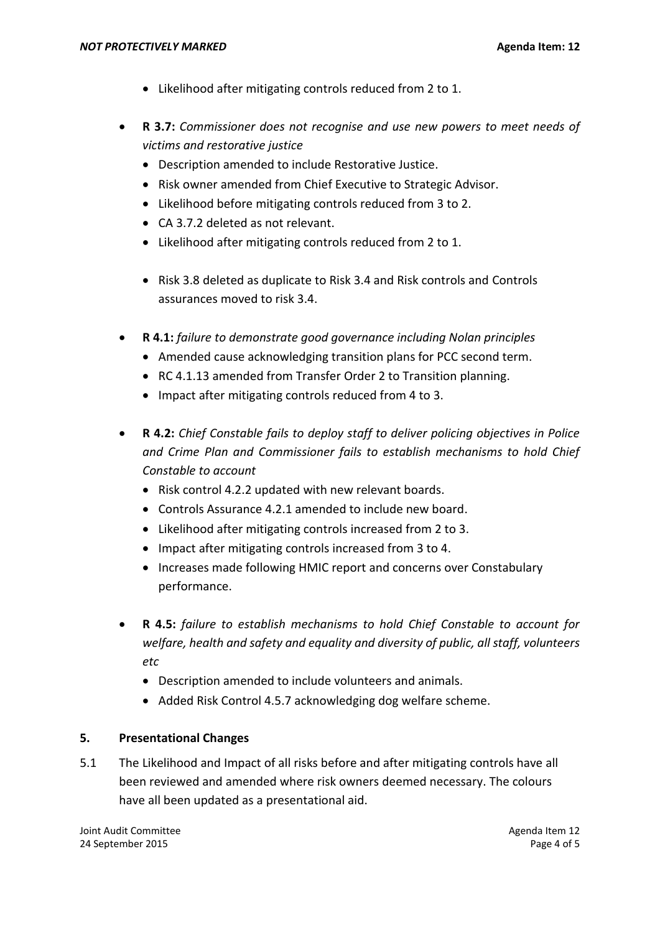- Likelihood after mitigating controls reduced from 2 to 1.
- **R 3.7:** *Commissioner does not recognise and use new powers to meet needs of victims and restorative justice*
	- Description amended to include Restorative Justice.
	- Risk owner amended from Chief Executive to Strategic Advisor.
	- Likelihood before mitigating controls reduced from 3 to 2.
	- CA 3.7.2 deleted as not relevant.
	- Likelihood after mitigating controls reduced from 2 to 1.
	- Risk 3.8 deleted as duplicate to Risk 3.4 and Risk controls and Controls assurances moved to risk 3.4.
- **R 4.1:** *failure to demonstrate good governance including Nolan principles*
	- Amended cause acknowledging transition plans for PCC second term.
	- RC 4.1.13 amended from Transfer Order 2 to Transition planning.
	- Impact after mitigating controls reduced from 4 to 3.
- **R 4.2:** *Chief Constable fails to deploy staff to deliver policing objectives in Police and Crime Plan and Commissioner fails to establish mechanisms to hold Chief Constable to account* 
	- Risk control 4.2.2 updated with new relevant boards.
	- Controls Assurance 4.2.1 amended to include new board.
	- Likelihood after mitigating controls increased from 2 to 3.
	- Impact after mitigating controls increased from 3 to 4.
	- Increases made following HMIC report and concerns over Constabulary performance.
- **R 4.5:** *failure to establish mechanisms to hold Chief Constable to account for welfare, health and safety and equality and diversity of public, all staff, volunteers etc*
	- Description amended to include volunteers and animals.
	- Added Risk Control 4.5.7 acknowledging dog welfare scheme.

# **5. Presentational Changes**

5.1 The Likelihood and Impact of all risks before and after mitigating controls have all been reviewed and amended where risk owners deemed necessary. The colours have all been updated as a presentational aid.

Joint Audit Committee Agenda Item 12 24 September 2015 Page 4 of 5